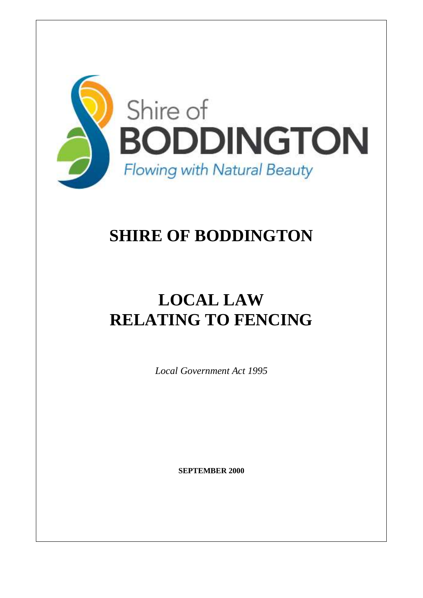

## **SHIRE OF BODDINGTON**

# **LOCAL LAW RELATING TO FENCING**

*Local Government Act 1995*

**SEPTEMBER 2000**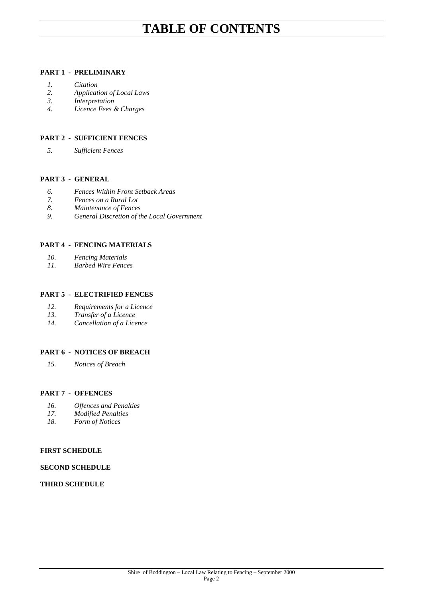### **TABLE OF CONTENTS**

#### **PART 1 - PRELIMINARY**

- *1. Citation*
- *2. Application of Local Laws*
- *3. Interpretation*
- *4. Licence Fees & Charges*

#### **PART 2 - SUFFICIENT FENCES**

*5. Sufficient Fences*

#### **PART 3 - GENERAL**

- *6. Fences Within Front Setback Areas*
- *7. Fences on a Rural Lot*
- *8. Maintenance of Fences*
- *9. General Discretion of the Local Government*

#### **PART 4 - FENCING MATERIALS**

- *10. Fencing Materials*
- *11. Barbed Wire Fences*

#### **PART 5 - ELECTRIFIED FENCES**

- *12. Requirements for a Licence*
- *13. Transfer of a Licence*
- *14. Cancellation of a Licence*

#### **PART 6 - NOTICES OF BREACH**

*15. Notices of Breach*

#### **PART 7 - OFFENCES**

- *16. Offences and Penalties*
- *17. Modified Penalties*
- *18. Form of Notices*

#### **FIRST SCHEDULE**

#### **SECOND SCHEDULE**

#### **THIRD SCHEDULE**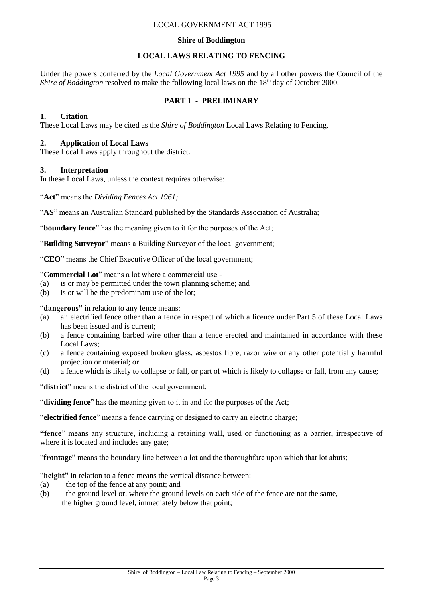#### LOCAL GOVERNMENT ACT 1995

#### **Shire of Boddington**

### **LOCAL LAWS RELATING TO FENCING**

Under the powers conferred by the *Local Government Act 1995* and by all other powers the Council of the *Shire of Boddington* resolved to make the following local laws on the 18<sup>th</sup> day of October 2000.

### **PART 1 - PRELIMINARY**

#### **1. Citation**

These Local Laws may be cited as the *Shire of Boddington* Local Laws Relating to Fencing.

#### **2. Application of Local Laws**

These Local Laws apply throughout the district.

#### **3. Interpretation**

In these Local Laws, unless the context requires otherwise:

"**Act**" means the *Dividing Fences Act 1961;*

"**AS**" means an Australian Standard published by the Standards Association of Australia;

"**boundary fence**" has the meaning given to it for the purposes of the Act;

"**Building Surveyor**" means a Building Surveyor of the local government;

"**CEO**" means the Chief Executive Officer of the local government;

"**Commercial Lot**" means a lot where a commercial use -

- (a) is or may be permitted under the town planning scheme; and
- (b) is or will be the predominant use of the lot;

"**dangerous"** in relation to any fence means:

- (a) an electrified fence other than a fence in respect of which a licence under Part 5 of these Local Laws has been issued and is current;
- (b) a fence containing barbed wire other than a fence erected and maintained in accordance with these Local Laws;
- (c) a fence containing exposed broken glass, asbestos fibre, razor wire or any other potentially harmful projection or material; or
- (d) a fence which is likely to collapse or fall, or part of which is likely to collapse or fall, from any cause;

"district" means the district of the local government;

"**dividing fence**" has the meaning given to it in and for the purposes of the Act;

"**electrified fence**" means a fence carrying or designed to carry an electric charge;

**"fence**" means any structure, including a retaining wall, used or functioning as a barrier, irrespective of where it is located and includes any gate;

"**frontage**" means the boundary line between a lot and the thoroughfare upon which that lot abuts;

"**height"** in relation to a fence means the vertical distance between:

- (a) the top of the fence at any point; and
- (b) the ground level or, where the ground levels on each side of the fence are not the same, the higher ground level, immediately below that point;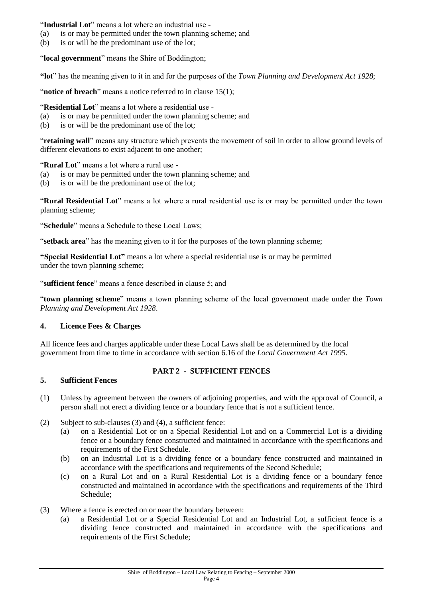#### "**Industrial Lot**" means a lot where an industrial use -

- (a) is or may be permitted under the town planning scheme; and
- (b) is or will be the predominant use of the lot;

"**local government**" means the Shire of Boddington;

**"lot**" has the meaning given to it in and for the purposes of the *Town Planning and Development Act 1928*;

"**notice of breach**" means a notice referred to in clause 15(1);

"**Residential Lot**" means a lot where a residential use -

- (a) is or may be permitted under the town planning scheme; and
- (b) is or will be the predominant use of the lot;

"**retaining wall**" means any structure which prevents the movement of soil in order to allow ground levels of different elevations to exist adjacent to one another;

"**Rural Lot**" means a lot where a rural use -

- (a) is or may be permitted under the town planning scheme; and
- (b) is or will be the predominant use of the lot;

"**Rural Residential Lot**" means a lot where a rural residential use is or may be permitted under the town planning scheme;

"**Schedule**" means a Schedule to these Local Laws;

"**setback area**" has the meaning given to it for the purposes of the town planning scheme;

**"Special Residential Lot"** means a lot where a special residential use is or may be permitted under the town planning scheme;

"**sufficient fence**" means a fence described in clause 5; and

"**town planning scheme**" means a town planning scheme of the local government made under the *Town Planning and Development Act 1928*.

#### **4. Licence Fees & Charges**

All licence fees and charges applicable under these Local Laws shall be as determined by the local government from time to time in accordance with section 6.16 of the *Local Government Act 1995*.

#### **PART 2 - SUFFICIENT FENCES**

#### **5. Sufficient Fences**

- (1) Unless by agreement between the owners of adjoining properties, and with the approval of Council, a person shall not erect a dividing fence or a boundary fence that is not a sufficient fence.
- (2) Subject to sub-clauses (3) and (4), a sufficient fence:
	- (a) on a Residential Lot or on a Special Residential Lot and on a Commercial Lot is a dividing fence or a boundary fence constructed and maintained in accordance with the specifications and requirements of the First Schedule.
	- (b) on an Industrial Lot is a dividing fence or a boundary fence constructed and maintained in accordance with the specifications and requirements of the Second Schedule;
	- (c) on a Rural Lot and on a Rural Residential Lot is a dividing fence or a boundary fence constructed and maintained in accordance with the specifications and requirements of the Third Schedule;
- (3) Where a fence is erected on or near the boundary between:
	- (a) a Residential Lot or a Special Residential Lot and an Industrial Lot, a sufficient fence is a dividing fence constructed and maintained in accordance with the specifications and requirements of the First Schedule;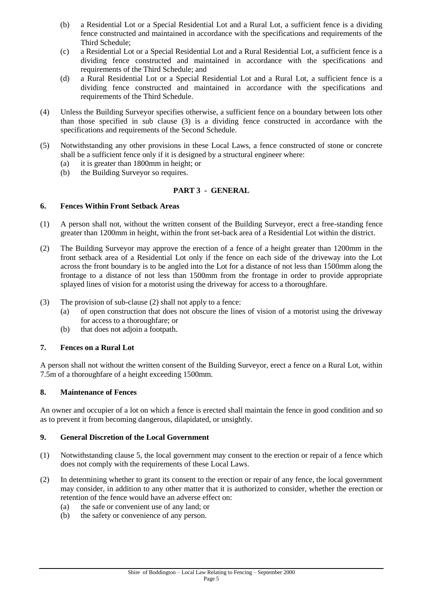- (b) a Residential Lot or a Special Residential Lot and a Rural Lot, a sufficient fence is a dividing fence constructed and maintained in accordance with the specifications and requirements of the Third Schedule;
- (c) a Residential Lot or a Special Residential Lot and a Rural Residential Lot, a sufficient fence is a dividing fence constructed and maintained in accordance with the specifications and requirements of the Third Schedule; and
- (d) a Rural Residential Lot or a Special Residential Lot and a Rural Lot, a sufficient fence is a dividing fence constructed and maintained in accordance with the specifications and requirements of the Third Schedule.
- (4) Unless the Building Surveyor specifies otherwise, a sufficient fence on a boundary between lots other than those specified in sub clause (3) is a dividing fence constructed in accordance with the specifications and requirements of the Second Schedule.
- (5) Notwithstanding any other provisions in these Local Laws, a fence constructed of stone or concrete shall be a sufficient fence only if it is designed by a structural engineer where:
	- (a) it is greater than 1800mm in height; or
	- (b) the Building Surveyor so requires.

### **PART 3 - GENERAL**

#### **6. Fences Within Front Setback Areas**

- (1) A person shall not, without the written consent of the Building Surveyor, erect a free-standing fence greater than 1200mm in height, within the front set-back area of a Residential Lot within the district.
- (2) The Building Surveyor may approve the erection of a fence of a height greater than 1200mm in the front setback area of a Residential Lot only if the fence on each side of the driveway into the Lot across the front boundary is to be angled into the Lot for a distance of not less than 1500mm along the frontage to a distance of not less than 1500mm from the frontage in order to provide appropriate splayed lines of vision for a motorist using the driveway for access to a thoroughfare.
- (3) The provision of sub-clause (2) shall not apply to a fence:
	- (a) of open construction that does not obscure the lines of vision of a motorist using the driveway for access to a thoroughfare; or
	- (b) that does not adjoin a footpath.

#### **7. Fences on a Rural Lot**

A person shall not without the written consent of the Building Surveyor, erect a fence on a Rural Lot, within 7.5m of a thoroughfare of a height exceeding 1500mm.

#### **8. Maintenance of Fences**

An owner and occupier of a lot on which a fence is erected shall maintain the fence in good condition and so as to prevent it from becoming dangerous, dilapidated, or unsightly.

#### **9. General Discretion of the Local Government**

- (1) Notwithstanding clause 5, the local government may consent to the erection or repair of a fence which does not comply with the requirements of these Local Laws.
- (2) In determining whether to grant its consent to the erection or repair of any fence, the local government may consider, in addition to any other matter that it is authorized to consider, whether the erection or retention of the fence would have an adverse effect on:
	- (a) the safe or convenient use of any land; or
	- (b) the safety or convenience of any person.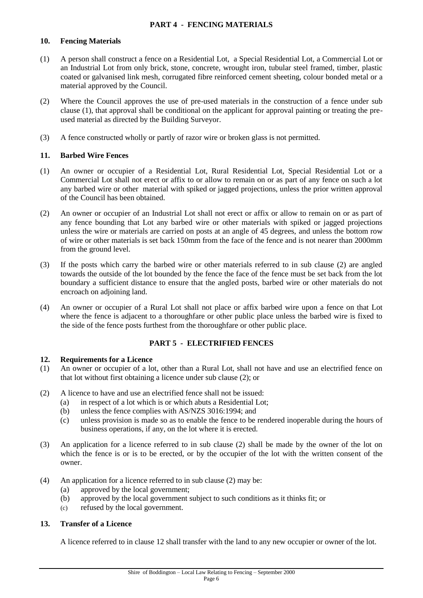#### **PART 4 - FENCING MATERIALS**

#### **10. Fencing Materials**

- (1) A person shall construct a fence on a Residential Lot, a Special Residential Lot, a Commercial Lot or an Industrial Lot from only brick, stone, concrete, wrought iron, tubular steel framed, timber, plastic coated or galvanised link mesh, corrugated fibre reinforced cement sheeting, colour bonded metal or a material approved by the Council.
- (2) Where the Council approves the use of pre-used materials in the construction of a fence under sub clause (1), that approval shall be conditional on the applicant for approval painting or treating the preused material as directed by the Building Surveyor.
- (3) A fence constructed wholly or partly of razor wire or broken glass is not permitted.

#### **11. Barbed Wire Fences**

- (1) An owner or occupier of a Residential Lot, Rural Residential Lot, Special Residential Lot or a Commercial Lot shall not erect or affix to or allow to remain on or as part of any fence on such a lot any barbed wire or other material with spiked or jagged projections, unless the prior written approval of the Council has been obtained.
- (2) An owner or occupier of an Industrial Lot shall not erect or affix or allow to remain on or as part of any fence bounding that Lot any barbed wire or other materials with spiked or jagged projections unless the wire or materials are carried on posts at an angle of 45 degrees, and unless the bottom row of wire or other materials is set back 150mm from the face of the fence and is not nearer than 2000mm from the ground level.
- (3) If the posts which carry the barbed wire or other materials referred to in sub clause (2) are angled towards the outside of the lot bounded by the fence the face of the fence must be set back from the lot boundary a sufficient distance to ensure that the angled posts, barbed wire or other materials do not encroach on adjoining land.
- (4) An owner or occupier of a Rural Lot shall not place or affix barbed wire upon a fence on that Lot where the fence is adjacent to a thoroughfare or other public place unless the barbed wire is fixed to the side of the fence posts furthest from the thoroughfare or other public place.

#### **PART 5 - ELECTRIFIED FENCES**

#### **12. Requirements for a Licence**

- (1) An owner or occupier of a lot, other than a Rural Lot, shall not have and use an electrified fence on that lot without first obtaining a licence under sub clause (2); or
- (2) A licence to have and use an electrified fence shall not be issued:
	- (a) in respect of a lot which is or which abuts a Residential Lot;
	- (b) unless the fence complies with AS/NZS 3016:1994; and
	- (c) unless provision is made so as to enable the fence to be rendered inoperable during the hours of business operations, if any, on the lot where it is erected.
- (3) An application for a licence referred to in sub clause (2) shall be made by the owner of the lot on which the fence is or is to be erected, or by the occupier of the lot with the written consent of the owner.
- (4) An application for a licence referred to in sub clause (2) may be:
	- (a) approved by the local government;
	- (b) approved by the local government subject to such conditions as it thinks fit; or
	- (c) refused by the local government.

#### **13. Transfer of a Licence**

A licence referred to in clause 12 shall transfer with the land to any new occupier or owner of the lot.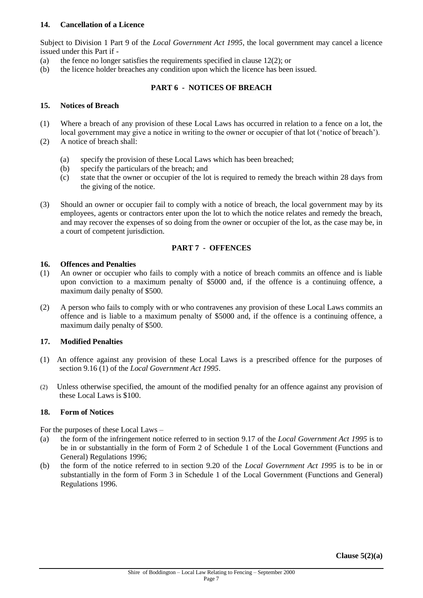#### **14. Cancellation of a Licence**

Subject to Division 1 Part 9 of the *Local Government Act 1995*, the local government may cancel a licence issued under this Part if -

- (a) the fence no longer satisfies the requirements specified in clause 12(2); or
- (b) the licence holder breaches any condition upon which the licence has been issued.

#### **PART 6 - NOTICES OF BREACH**

#### **15. Notices of Breach**

- (1) Where a breach of any provision of these Local Laws has occurred in relation to a fence on a lot, the local government may give a notice in writing to the owner or occupier of that lot ('notice of breach').
- (2) A notice of breach shall:
	- (a) specify the provision of these Local Laws which has been breached;
	- (b) specify the particulars of the breach; and
	- (c) state that the owner or occupier of the lot is required to remedy the breach within 28 days from the giving of the notice.
- (3) Should an owner or occupier fail to comply with a notice of breach, the local government may by its employees, agents or contractors enter upon the lot to which the notice relates and remedy the breach, and may recover the expenses of so doing from the owner or occupier of the lot, as the case may be, in a court of competent jurisdiction.

#### **PART 7 - OFFENCES**

#### **16. Offences and Penalties**

- (1) An owner or occupier who fails to comply with a notice of breach commits an offence and is liable upon conviction to a maximum penalty of \$5000 and, if the offence is a continuing offence, a maximum daily penalty of \$500.
- (2) A person who fails to comply with or who contravenes any provision of these Local Laws commits an offence and is liable to a maximum penalty of \$5000 and, if the offence is a continuing offence, a maximum daily penalty of \$500.

#### **17. Modified Penalties**

- (1) An offence against any provision of these Local Laws is a prescribed offence for the purposes of section 9.16 (1) of the *Local Government Act 1995*.
- (2) Unless otherwise specified, the amount of the modified penalty for an offence against any provision of these Local Laws is \$100.

#### **18. Form of Notices**

For the purposes of these Local Laws –

- (a) the form of the infringement notice referred to in section 9.17 of the *Local Government Act 1995* is to be in or substantially in the form of Form 2 of Schedule 1 of the Local Government (Functions and General) Regulations 1996;
- (b) the form of the notice referred to in section 9.20 of the *Local Government Act 1995* is to be in or substantially in the form of Form 3 in Schedule 1 of the Local Government (Functions and General) Regulations 1996.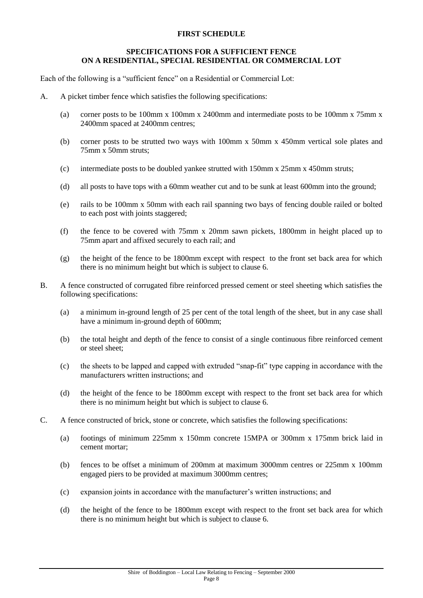#### **FIRST SCHEDULE**

#### **SPECIFICATIONS FOR A SUFFICIENT FENCE ON A RESIDENTIAL, SPECIAL RESIDENTIAL OR COMMERCIAL LOT**

Each of the following is a "sufficient fence" on a Residential or Commercial Lot:

- A. A picket timber fence which satisfies the following specifications:
	- (a) corner posts to be 100mm x 100mm x 2400mm and intermediate posts to be 100mm x 75mm x 2400mm spaced at 2400mm centres;
	- (b) corner posts to be strutted two ways with 100mm x 50mm x 450mm vertical sole plates and 75mm x 50mm struts;
	- (c) intermediate posts to be doubled yankee strutted with 150mm x 25mm x 450mm struts;
	- (d) all posts to have tops with a 60mm weather cut and to be sunk at least 600mm into the ground;
	- (e) rails to be 100mm x 50mm with each rail spanning two bays of fencing double railed or bolted to each post with joints staggered;
	- (f) the fence to be covered with 75mm x 20mm sawn pickets, 1800mm in height placed up to 75mm apart and affixed securely to each rail; and
	- (g) the height of the fence to be 1800mm except with respect to the front set back area for which there is no minimum height but which is subject to clause 6.
- B. A fence constructed of corrugated fibre reinforced pressed cement or steel sheeting which satisfies the following specifications:
	- (a) a minimum in-ground length of 25 per cent of the total length of the sheet, but in any case shall have a minimum in-ground depth of 600mm;
	- (b) the total height and depth of the fence to consist of a single continuous fibre reinforced cement or steel sheet;
	- (c) the sheets to be lapped and capped with extruded "snap-fit" type capping in accordance with the manufacturers written instructions; and
	- (d) the height of the fence to be 1800mm except with respect to the front set back area for which there is no minimum height but which is subject to clause 6.
- C. A fence constructed of brick, stone or concrete, which satisfies the following specifications:
	- (a) footings of minimum 225mm x 150mm concrete 15MPA or 300mm x 175mm brick laid in cement mortar;
	- (b) fences to be offset a minimum of 200mm at maximum 3000mm centres or 225mm x 100mm engaged piers to be provided at maximum 3000mm centres;
	- (c) expansion joints in accordance with the manufacturer's written instructions; and
	- (d) the height of the fence to be 1800mm except with respect to the front set back area for which there is no minimum height but which is subject to clause 6.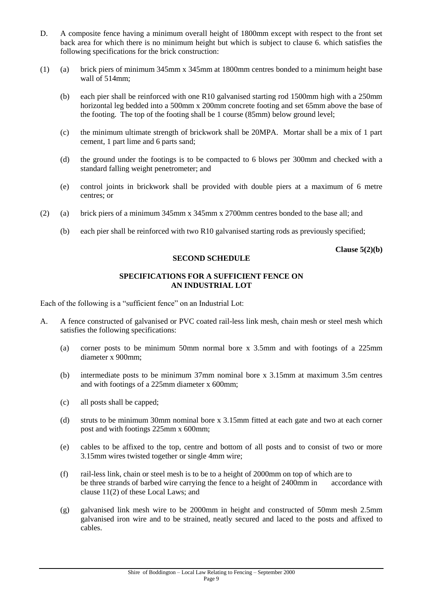- D. A composite fence having a minimum overall height of 1800mm except with respect to the front set back area for which there is no minimum height but which is subject to clause 6. which satisfies the following specifications for the brick construction:
- (1) (a) brick piers of minimum 345mm x 345mm at 1800mm centres bonded to a minimum height base wall of 514mm:
	- (b) each pier shall be reinforced with one R10 galvanised starting rod 1500mm high with a 250mm horizontal leg bedded into a 500mm x 200mm concrete footing and set 65mm above the base of the footing. The top of the footing shall be 1 course (85mm) below ground level;
	- (c) the minimum ultimate strength of brickwork shall be 20MPA. Mortar shall be a mix of 1 part cement, 1 part lime and 6 parts sand;
	- (d) the ground under the footings is to be compacted to 6 blows per 300mm and checked with a standard falling weight penetrometer; and
	- (e) control joints in brickwork shall be provided with double piers at a maximum of 6 metre centres; or
- (2) (a) brick piers of a minimum 345mm x 345mm x 2700mm centres bonded to the base all; and
	- (b) each pier shall be reinforced with two R10 galvanised starting rods as previously specified;

**Clause 5(2)(b)**

#### **SECOND SCHEDULE**

#### **SPECIFICATIONS FOR A SUFFICIENT FENCE ON AN INDUSTRIAL LOT**

Each of the following is a "sufficient fence" on an Industrial Lot:

- A. A fence constructed of galvanised or PVC coated rail-less link mesh, chain mesh or steel mesh which satisfies the following specifications:
	- (a) corner posts to be minimum 50mm normal bore x 3.5mm and with footings of a 225mm diameter x 900mm;
	- (b) intermediate posts to be minimum 37mm nominal bore x 3.15mm at maximum 3.5m centres and with footings of a 225mm diameter x 600mm;
	- (c) all posts shall be capped;
	- (d) struts to be minimum 30mm nominal bore x 3.15mm fitted at each gate and two at each corner post and with footings 225mm x 600mm;
	- (e) cables to be affixed to the top, centre and bottom of all posts and to consist of two or more 3.15mm wires twisted together or single 4mm wire;
	- (f) rail-less link, chain or steel mesh is to be to a height of 2000mm on top of which are to be three strands of barbed wire carrying the fence to a height of 2400mm in accordance with clause 11(2) of these Local Laws; and
	- (g) galvanised link mesh wire to be 2000mm in height and constructed of 50mm mesh 2.5mm galvanised iron wire and to be strained, neatly secured and laced to the posts and affixed to cables.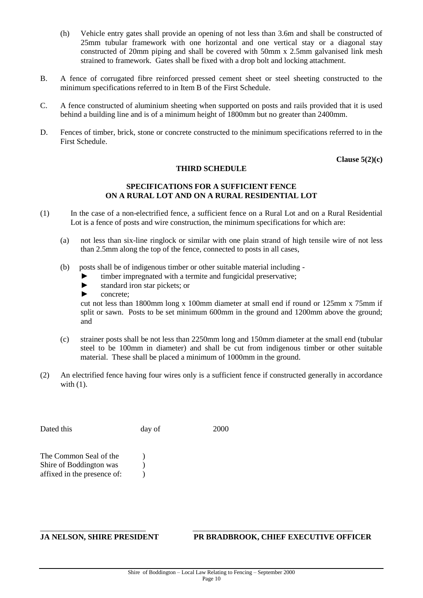- (h) Vehicle entry gates shall provide an opening of not less than 3.6m and shall be constructed of 25mm tubular framework with one horizontal and one vertical stay or a diagonal stay constructed of 20mm piping and shall be covered with 50mm x 2.5mm galvanised link mesh strained to framework. Gates shall be fixed with a drop bolt and locking attachment.
- B. A fence of corrugated fibre reinforced pressed cement sheet or steel sheeting constructed to the minimum specifications referred to in Item B of the First Schedule.
- C. A fence constructed of aluminium sheeting when supported on posts and rails provided that it is used behind a building line and is of a minimum height of 1800mm but no greater than 2400mm.
- D. Fences of timber, brick, stone or concrete constructed to the minimum specifications referred to in the First Schedule.

**Clause 5(2)(c)**

#### **THIRD SCHEDULE**

#### **SPECIFICATIONS FOR A SUFFICIENT FENCE ON A RURAL LOT AND ON A RURAL RESIDENTIAL LOT**

- (1) In the case of a non-electrified fence, a sufficient fence on a Rural Lot and on a Rural Residential Lot is a fence of posts and wire construction, the minimum specifications for which are:
	- (a) not less than six-line ringlock or similar with one plain strand of high tensile wire of not less than 2.5mm along the top of the fence, connected to posts in all cases,
	- (b) posts shall be of indigenous timber or other suitable material including
		- ► timber impregnated with a termite and fungicidal preservative;
		- ► standard iron star pickets; or
		- ► concrete;

cut not less than 1800mm long x 100mm diameter at small end if round or 125mm x 75mm if split or sawn. Posts to be set minimum 600mm in the ground and 1200mm above the ground; and

- (c) strainer posts shall be not less than 2250mm long and 150mm diameter at the small end (tubular steel to be 100mm in diameter) and shall be cut from indigenous timber or other suitable material. These shall be placed a minimum of 1000mm in the ground.
- (2) An electrified fence having four wires only is a sufficient fence if constructed generally in accordance with  $(1)$ .

Dated this day of 2000 The Common Seal of the  $\qquad$ )

Shire of Boddington was (b) affixed in the presence of:  $\qquad$  )

#### **JA NELSON, SHIRE PRESIDENT PR BRADBROOK, CHIEF EXECUTIVE OFFICER**

\_\_\_\_\_\_\_\_\_\_\_\_\_\_\_\_\_\_\_\_\_\_\_\_\_\_\_ \_\_\_\_\_\_\_\_\_\_\_\_\_\_\_\_\_\_\_\_\_\_\_\_\_\_\_\_\_\_\_\_\_\_\_\_\_\_\_\_\_